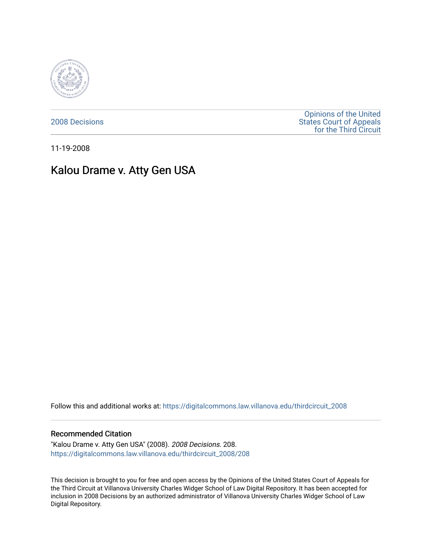

[2008 Decisions](https://digitalcommons.law.villanova.edu/thirdcircuit_2008)

[Opinions of the United](https://digitalcommons.law.villanova.edu/thirdcircuit)  [States Court of Appeals](https://digitalcommons.law.villanova.edu/thirdcircuit)  [for the Third Circuit](https://digitalcommons.law.villanova.edu/thirdcircuit) 

11-19-2008

# Kalou Drame v. Atty Gen USA

Follow this and additional works at: [https://digitalcommons.law.villanova.edu/thirdcircuit\\_2008](https://digitalcommons.law.villanova.edu/thirdcircuit_2008?utm_source=digitalcommons.law.villanova.edu%2Fthirdcircuit_2008%2F208&utm_medium=PDF&utm_campaign=PDFCoverPages) 

#### Recommended Citation

"Kalou Drame v. Atty Gen USA" (2008). 2008 Decisions. 208. [https://digitalcommons.law.villanova.edu/thirdcircuit\\_2008/208](https://digitalcommons.law.villanova.edu/thirdcircuit_2008/208?utm_source=digitalcommons.law.villanova.edu%2Fthirdcircuit_2008%2F208&utm_medium=PDF&utm_campaign=PDFCoverPages)

This decision is brought to you for free and open access by the Opinions of the United States Court of Appeals for the Third Circuit at Villanova University Charles Widger School of Law Digital Repository. It has been accepted for inclusion in 2008 Decisions by an authorized administrator of Villanova University Charles Widger School of Law Digital Repository.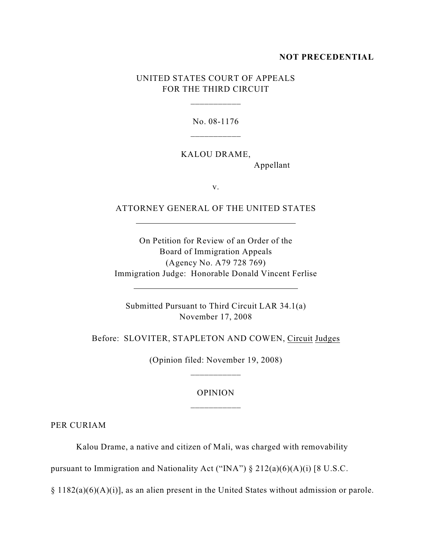### **NOT PRECEDENTIAL**

## UNITED STATES COURT OF APPEALS FOR THE THIRD CIRCUIT

\_\_\_\_\_\_\_\_\_\_\_

No. 08-1176

KALOU DRAME,

Appellant

v.

ATTORNEY GENERAL OF THE UNITED STATES

 $\overline{a}$ 

 $\overline{a}$ 

On Petition for Review of an Order of the Board of Immigration Appeals (Agency No. A79 728 769) Immigration Judge: Honorable Donald Vincent Ferlise

Submitted Pursuant to Third Circuit LAR 34.1(a) November 17, 2008

Before: SLOVITER, STAPLETON AND COWEN, Circuit Judges

(Opinion filed: November 19, 2008) \_\_\_\_\_\_\_\_\_\_\_

### OPINION

PER CURIAM

Kalou Drame, a native and citizen of Mali, was charged with removability

pursuant to Immigration and Nationality Act ("INA")  $\S 212(a)(6)(A)(i)$  [8 U.S.C.

§ 1182(a)(6)(A)(i)], as an alien present in the United States without admission or parole.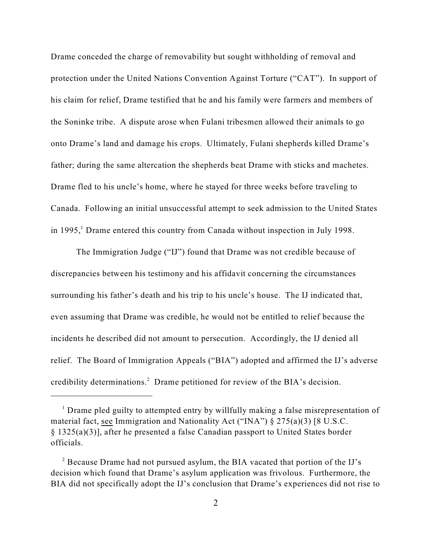Drame conceded the charge of removability but sought withholding of removal and protection under the United Nations Convention Against Torture ("CAT"). In support of his claim for relief, Drame testified that he and his family were farmers and members of the Soninke tribe. A dispute arose when Fulani tribesmen allowed their animals to go onto Drame's land and damage his crops. Ultimately, Fulani shepherds killed Drame's father; during the same altercation the shepherds beat Drame with sticks and machetes. Drame fled to his uncle's home, where he stayed for three weeks before traveling to Canada. Following an initial unsuccessful attempt to seek admission to the United States in 1995,<sup>1</sup> Drame entered this country from Canada without inspection in July 1998.

The Immigration Judge ("IJ") found that Drame was not credible because of discrepancies between his testimony and his affidavit concerning the circumstances surrounding his father's death and his trip to his uncle's house. The IJ indicated that, even assuming that Drame was credible, he would not be entitled to relief because the incidents he described did not amount to persecution. Accordingly, the IJ denied all relief. The Board of Immigration Appeals ("BIA") adopted and affirmed the IJ's adverse credibility determinations.<sup>2</sup> Drame petitioned for review of the BIA's decision.

 $<sup>1</sup>$  Drame pled guilty to attempted entry by willfully making a false misrepresentation of</sup> material fact, see Immigration and Nationality Act ("INA") § 275(a)(3) [8 U.S.C. § 1325(a)(3)], after he presented a false Canadian passport to United States border officials.

 $^2$  Because Drame had not pursued asylum, the BIA vacated that portion of the IJ's decision which found that Drame's asylum application was frivolous. Furthermore, the BIA did not specifically adopt the IJ's conclusion that Drame's experiences did not rise to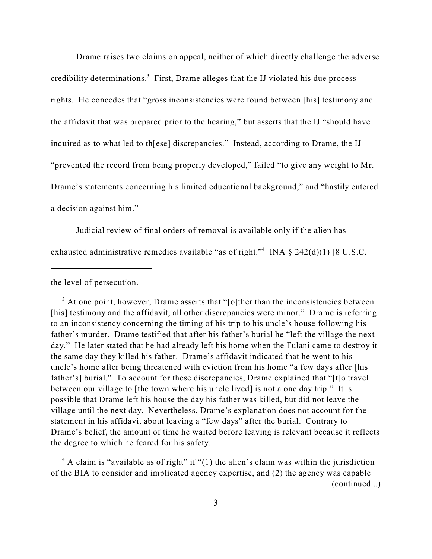Drame raises two claims on appeal, neither of which directly challenge the adverse credibility determinations.<sup>3</sup> First, Drame alleges that the IJ violated his due process rights. He concedes that "gross inconsistencies were found between [his] testimony and the affidavit that was prepared prior to the hearing," but asserts that the IJ "should have inquired as to what led to th[ese] discrepancies." Instead, according to Drame, the IJ "prevented the record from being properly developed," failed "to give any weight to Mr. Drame's statements concerning his limited educational background," and "hastily entered a decision against him."

Judicial review of final orders of removal is available only if the alien has exhausted administrative remedies available "as of right." INA  $\S$  242(d)(1) [8 U.S.C.

the level of persecution.

<sup>3</sup> At one point, however, Drame asserts that "[o]ther than the inconsistencies between [his] testimony and the affidavit, all other discrepancies were minor." Drame is referring to an inconsistency concerning the timing of his trip to his uncle's house following his father's murder. Drame testified that after his father's burial he "left the village the next day." He later stated that he had already left his home when the Fulani came to destroy it the same day they killed his father. Drame's affidavit indicated that he went to his uncle's home after being threatened with eviction from his home "a few days after [his father's] burial." To account for these discrepancies, Drame explained that "[t]o travel between our village to [the town where his uncle lived] is not a one day trip." It is possible that Drame left his house the day his father was killed, but did not leave the village until the next day. Nevertheless, Drame's explanation does not account for the statement in his affidavit about leaving a "few days" after the burial. Contrary to Drame's belief, the amount of time he waited before leaving is relevant because it reflects the degree to which he feared for his safety.

 $A$  claim is "available as of right" if "(1) the alien's claim was within the jurisdiction of the BIA to consider and implicated agency expertise, and (2) the agency was capable (continued...)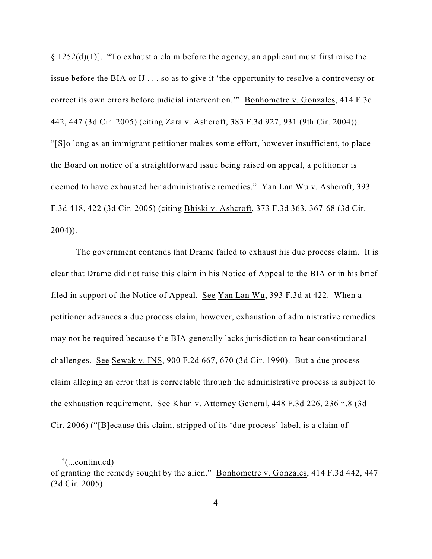$\S 1252(d)(1)$ ]. "To exhaust a claim before the agency, an applicant must first raise the issue before the BIA or IJ . . . so as to give it 'the opportunity to resolve a controversy or correct its own errors before judicial intervention.'" Bonhometre v. Gonzales, 414 F.3d 442, 447 (3d Cir. 2005) (citing Zara v. Ashcroft, 383 F.3d 927, 931 (9th Cir. 2004)). "[S]o long as an immigrant petitioner makes some effort, however insufficient, to place the Board on notice of a straightforward issue being raised on appeal, a petitioner is deemed to have exhausted her administrative remedies." Yan Lan Wu v. Ashcroft, 393 F.3d 418, 422 (3d Cir. 2005) (citing Bhiski v. Ashcroft, 373 F.3d 363, 367-68 (3d Cir. 2004)).

The government contends that Drame failed to exhaust his due process claim. It is clear that Drame did not raise this claim in his Notice of Appeal to the BIA or in his brief filed in support of the Notice of Appeal. See Yan Lan Wu, 393 F.3d at 422. When a petitioner advances a due process claim, however, exhaustion of administrative remedies may not be required because the BIA generally lacks jurisdiction to hear constitutional challenges. See Sewak v. INS, 900 F.2d 667, 670 (3d Cir. 1990). But a due process claim alleging an error that is correctable through the administrative process is subject to the exhaustion requirement. See Khan v. Attorney General, 448 F.3d 226, 236 n.8 (3d Cir. 2006) ("[B]ecause this claim, stripped of its 'due process' label, is a claim of

 $^4$ (...continued)

of granting the remedy sought by the alien." Bonhometre v. Gonzales, 414 F.3d 442, 447 (3d Cir. 2005).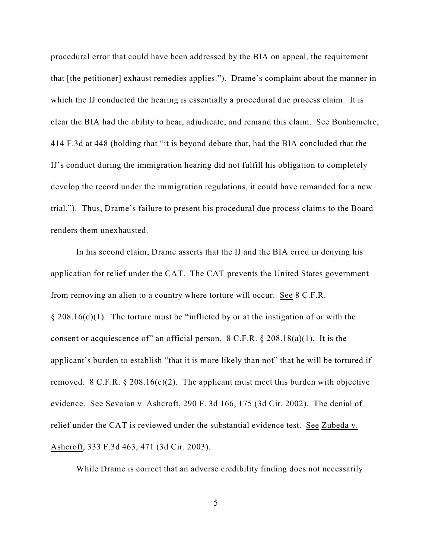procedural error that could have been addressed by the BIA on appeal, the requirement that [the petitioner] exhaust remedies applies."). Drame's complaint about the manner in which the IJ conducted the hearing is essentially a procedural due process claim. It is clear the BIA had the ability to hear, adjudicate, and remand this claim. See Bonhometre, 414 F.3d at 448 (holding that "it is beyond debate that, had the BIA concluded that the IJ's conduct during the immigration hearing did not fulfill his obligation to completely develop the record under the immigration regulations, it could have remanded for a new trial."). Thus, Drame's failure to present his procedural due process claims to the Board renders them unexhausted.

In his second claim, Drame asserts that the IJ and the BIA erred in denying his application for relief under the CAT. The CAT prevents the United States government from removing an alien to a country where torture will occur. See 8 C.F.R.  $\S 208.16(d)(1)$ . The torture must be "inflicted by or at the instigation of or with the consent or acquiescence of" an official person.  $8$  C.F.R.  $\S$  208.18(a)(1). It is the applicant's burden to establish "that it is more likely than not" that he will be tortured if removed. 8 C.F.R.  $\S 208.16(c)(2)$ . The applicant must meet this burden with objective evidence. See Sevoian v. Ashcroft, 290 F. 3d 166, 175 (3d Cir. 2002). The denial of relief under the CAT is reviewed under the substantial evidence test. See Zubeda v. Ashcroft, 333 F.3d 463, 471 (3d Cir. 2003).

While Drame is correct that an adverse credibility finding does not necessarily

5